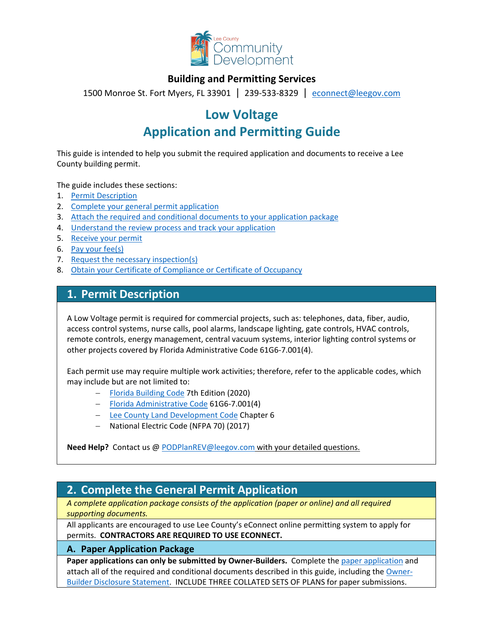

## **Building and Permitting Services**

1500 Monroe St. Fort Myers, FL 33901 | 239-533-8329 |[econnect@leegov.com](mailto:econnect@leegov.com)

# **Low Voltage Application and Permitting Guide**

This guide is intended to help you submit the required application and documents to receive a Lee County building permit.

The guide includes these sections:

- 1. [Permit Description](#page-0-0)
- 2. [Complete your general permit application](#page-0-1)
- 3. [Attach the required and conditional documents to your application package](#page-3-0)
- 4. [Understand the review process and track your application](#page-3-1)
- 5. [Receive your permit](#page-4-0)
- 6. [Pay your fee\(s\)](#page-4-1)
- 7. [Request the necessary inspection\(s\)](#page-5-0)
- 8. [Obtain your Certificate of Compliance or Certificate of Occupancy](#page-5-1)

## <span id="page-0-0"></span>**1. Permit Description**

A Low Voltage permit is required for commercial projects, such as: telephones, data, fiber, audio, access control systems, nurse calls, pool alarms, landscape lighting, gate controls, HVAC controls, remote controls, energy management, central vacuum systems, interior lighting control systems or other projects covered by Florida Administrative Code 61G6-7.001(4).

Each permit use may require multiple work activities; therefore, refer to the applicable codes, which may include but are not limited to:

- − [Florida Building Code](https://codes.iccsafe.org/codes/florida) 7th Edition (2020)
- − [Florida Administrative Code](https://www.flrules.org/gateway/ruleno.asp?id=61G6-7.001&Section=0) 61G6-7.001(4)
- − [Lee County Land Development Code](https://library.municode.com/fl/lee_county/codes/land_development_code?nodeId=LADECOLECOFL) Chapter 6
- − National Electric Code (NFPA 70) (2017)

**Need Help?** Contact us @ [PODPlanREV@leegov.com](mailto:PODPlanREV@leegov.com) with your detailed questions.

## <span id="page-0-1"></span>**2. Complete the General Permit Application**

*A complete application package consists of the application (paper or online) and all required supporting documents.*

All applicants are encouraged to use Lee County's eConnect online permitting system to apply for permits. **CONTRACTORS ARE REQUIRED TO USE ECONNECT.**

### **A. Paper Application Package**

Paper applications can only be submitted by Owner-Builders. Complete the [paper application](https://www.leegov.com/dcd/PermittingDocs/LowVoltageApplication.pdf) and attach all of the required and conditional documents described in this guide, including the [Owner-](https://www.leegov.com/dcd/PermittingDocs/OwnerBldrDisclosure.pdf)[Builder Disclosure Statement.](https://www.leegov.com/dcd/PermittingDocs/OwnerBldrDisclosure.pdf) INCLUDE THREE COLLATED SETS OF PLANS for paper submissions.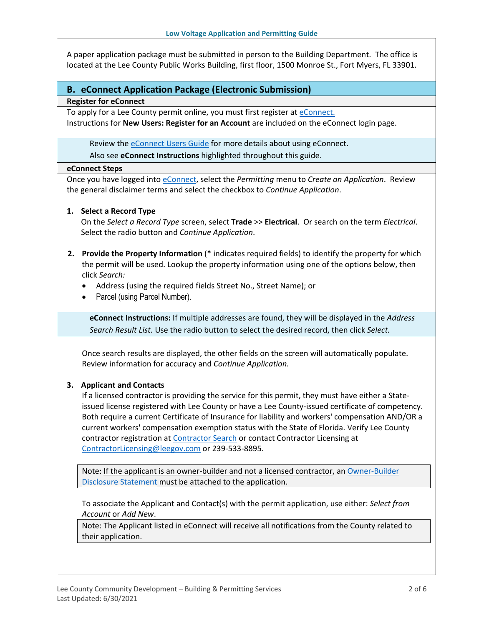A paper application package must be submitted in person to the Building Department. The office is located at the Lee County Public Works Building, first floor, 1500 Monroe St., Fort Myers, FL 33901.

### **B. eConnect Application Package (Electronic Submission)**

### **Register for eConnect**

To apply for a Lee County permit online, you must first register at [eConnect.](https://accelaaca.leegov.com/aca/) Instructions for **New Users: Register for an Account** are included on the eConnect login page.

Review the **eConnect Users Guide** for more details about using eConnect. Also see **eConnect Instructions** highlighted throughout this guide.

#### **eConnect Steps**

Once you have logged into [eConnect,](https://accelaaca.leegov.com/aca/) select the *Permitting* menu to *Create an Application*. Review the general disclaimer terms and select the checkbox to *Continue Application*.

### **1. Select a Record Type**

On the *Select a Record Type* screen, select **Trade** >> **Electrical**. Or search on the term *Electrical*. Select the radio button and *Continue Application*.

- **2. Provide the Property Information** (\* indicates required fields) to identify the property for which the permit will be used. Lookup the property information using one of the options below, then click *Search:*
	- Address (using the required fields Street No., Street Name); or
	- Parcel (using Parcel Number).

**eConnect Instructions:** If multiple addresses are found, they will be displayed in the *Address Search Result List.* Use the radio button to select the desired record, then click *Select.*

Once search results are displayed, the other fields on the screen will automatically populate. Review information for accuracy and *Continue Application.*

### **3. Applicant and Contacts**

If a licensed contractor is providing the service for this permit, they must have either a Stateissued license registered with Lee County or have a Lee County-issued certificate of competency. Both require a current Certificate of Insurance for liability and workers' compensation AND/OR a current workers' compensation exemption status with the State of Florida. Verify Lee County contractor registration at [Contractor Search](https://www.leegov.com/dcd/ContLic/ActCont) or contact Contractor Licensing at [ContractorLicensing@leegov.com](mailto:ContractorLicensing@leegov.com) or 239-533-8895.

Note: If the applicant is an owner-builder and not a licensed contractor, a[n Owner-Builder](https://www.leegov.com/dcd/PermittingDocs/OwnerBldrDisclosure.pdf)  [Disclosure Statement](https://www.leegov.com/dcd/PermittingDocs/OwnerBldrDisclosure.pdf) must be attached to the application.

To associate the Applicant and Contact(s) with the permit application, use either: *Select from Account* or *Add New*.

Note: The Applicant listed in eConnect will receive all notifications from the County related to their application.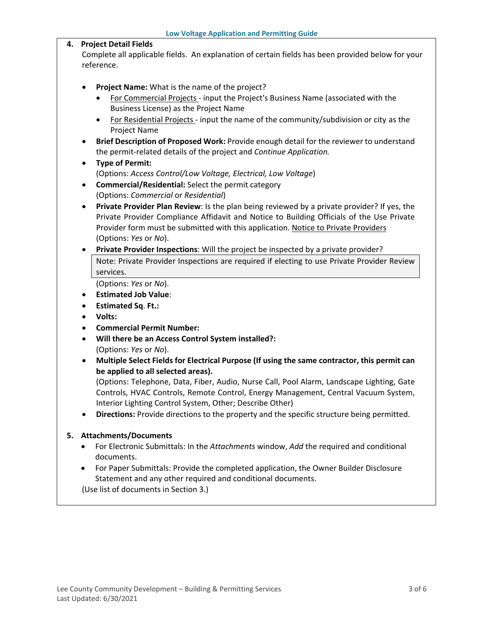|    | <b>Low Voltage Application and Permitting Guide</b>                                                                                                                                                                                                                                                                                                                                                                                                                                                                                                                                                                                                                                                                                                                                                                                                                                                                                                                                                       |
|----|-----------------------------------------------------------------------------------------------------------------------------------------------------------------------------------------------------------------------------------------------------------------------------------------------------------------------------------------------------------------------------------------------------------------------------------------------------------------------------------------------------------------------------------------------------------------------------------------------------------------------------------------------------------------------------------------------------------------------------------------------------------------------------------------------------------------------------------------------------------------------------------------------------------------------------------------------------------------------------------------------------------|
| 4. | <b>Project Detail Fields</b>                                                                                                                                                                                                                                                                                                                                                                                                                                                                                                                                                                                                                                                                                                                                                                                                                                                                                                                                                                              |
|    | Complete all applicable fields. An explanation of certain fields has been provided below for your<br>reference.                                                                                                                                                                                                                                                                                                                                                                                                                                                                                                                                                                                                                                                                                                                                                                                                                                                                                           |
|    | Project Name: What is the name of the project?<br>$\bullet$<br>For Commercial Projects - input the Project's Business Name (associated with the<br>Business License) as the Project Name<br>For Residential Projects - input the name of the community/subdivision or city as the<br>$\bullet$<br>Project Name<br>Brief Description of Proposed Work: Provide enough detail for the reviewer to understand<br>٠<br>the permit-related details of the project and Continue Application.<br><b>Type of Permit:</b><br>$\bullet$<br>(Options: Access Control/Low Voltage, Electrical, Low Voltage)<br>Commercial/Residential: Select the permit category<br>$\bullet$<br>(Options: Commercial or Residential)<br>Private Provider Plan Review: Is the plan being reviewed by a private provider? If yes, the<br>$\bullet$<br>Private Provider Compliance Affidavit and Notice to Building Officials of the Use Private<br>Provider form must be submitted with this application. Notice to Private Providers |
|    | (Options: Yes or No).<br>Private Provider Inspections: Will the project be inspected by a private provider?<br>٠                                                                                                                                                                                                                                                                                                                                                                                                                                                                                                                                                                                                                                                                                                                                                                                                                                                                                          |
|    | Note: Private Provider Inspections are required if electing to use Private Provider Review<br>services.<br>(Options: Yes or No).<br><b>Estimated Job Value:</b><br>٠<br><b>Estimated Sq. Ft.:</b><br>٠<br>Volts:<br><b>Commercial Permit Number:</b><br>٠<br>Will there be an Access Control System installed?:<br>$\bullet$<br>(Options: Yes or No).<br>Multiple Select Fields for Electrical Purpose (If using the same contractor, this permit can<br>$\bullet$<br>be applied to all selected areas).<br>(Options: Telephone, Data, Fiber, Audio, Nurse Call, Pool Alarm, Landscape Lighting, Gate<br>Controls, HVAC Controls, Remote Control, Energy Management, Central Vacuum System,<br>Interior Lighting Control System, Other; Describe Other)<br>Directions: Provide directions to the property and the specific structure being permitted.                                                                                                                                                     |
| 5. | <b>Attachments/Documents</b><br>For Electronic Submittals: In the Attachments window, Add the required and conditional<br>documents.                                                                                                                                                                                                                                                                                                                                                                                                                                                                                                                                                                                                                                                                                                                                                                                                                                                                      |

• For Paper Submittals: Provide the completed application, the Owner Builder Disclosure Statement and any other required and conditional documents.

(Use list of documents in Section 3.)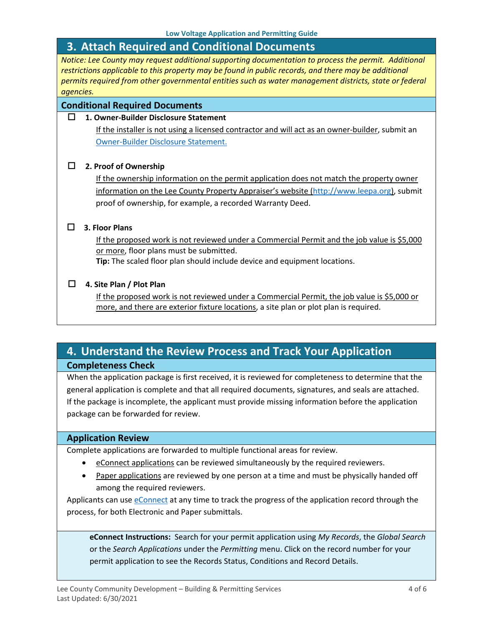## <span id="page-3-0"></span>**3. Attach Required and Conditional Documents**

*Notice: Lee County may request additional supporting documentation to process the permit. Additional restrictions applicable to this property may be found in public records, and there may be additional permits required from other governmental entities such as water management districts, state or federal agencies.*

### **Conditional Required Documents**

#### **1. Owner-Builder Disclosure Statement**

If the installer is not using a licensed contractor and will act as an owner-builder, submit an [Owner-Builder Disclosure Statement.](https://www.leegov.com/dcd/PermittingDocs/OwnerBldrDisclosure.pdf)

#### **2. Proof of Ownership**

If the ownership information on the permit application does not match the property owner information on the Lee County Property Appraiser's website [\(http://www.leepa.org\)](http://www.leepa.org/), submit proof of ownership, for example, a recorded Warranty Deed.

#### **3. Floor Plans**

If the proposed work is not reviewed under a Commercial Permit and the job value is \$5,000 or more, floor plans must be submitted.

**Tip:** The scaled floor plan should include device and equipment locations.

#### **4. Site Plan / Plot Plan**

If the proposed work is not reviewed under a Commercial Permit, the job value is \$5,000 or more, and there are exterior fixture locations, a site plan or plot plan is required.

## <span id="page-3-1"></span>**4. Understand the Review Process and Track Your Application Completeness Check**

When the application package is first received, it is reviewed for completeness to determine that the general application is complete and that all required documents, signatures, and seals are attached. If the package is incomplete, the applicant must provide missing information before the application package can be forwarded for review.

#### **Application Review**

Complete applications are forwarded to multiple functional areas for review.

- eConnect applications can be reviewed simultaneously by the required reviewers.
- Paper applications are reviewed by one person at a time and must be physically handed off among the required reviewers.

Applicants can use [eConnect](https://accelaaca.leegov.com/aca/) at any time to track the progress of the application record through the process, for both Electronic and Paper submittals.

**eConnect Instructions:** Search for your permit application using *My Records*, the *Global Search* or the *Search Applications* under the *Permitting* menu. Click on the record number for your permit application to see the Records Status, Conditions and Record Details.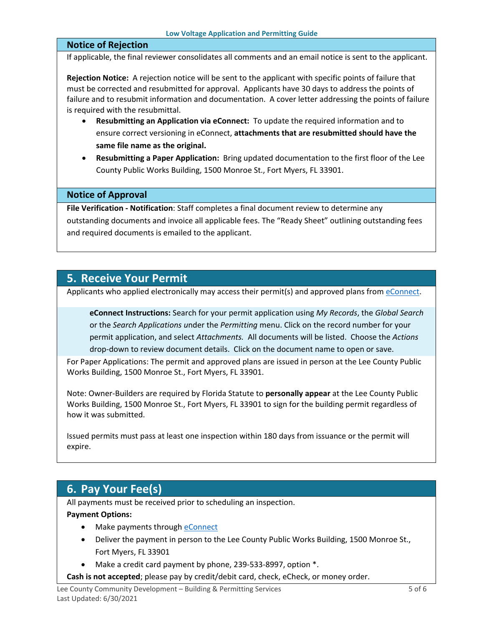### **Notice of Rejection**

If applicable, the final reviewer consolidates all comments and an email notice is sent to the applicant.

**Rejection Notice:** A rejection notice will be sent to the applicant with specific points of failure that must be corrected and resubmitted for approval. Applicants have 30 days to address the points of failure and to resubmit information and documentation. A cover letter addressing the points of failure is required with the resubmittal.

- **Resubmitting an Application via eConnect:** To update the required information and to ensure correct versioning in eConnect, **attachments that are resubmitted should have the same file name as the original.**
- **Resubmitting a Paper Application:** Bring updated documentation to the first floor of the Lee County Public Works Building, 1500 Monroe St., Fort Myers, FL 33901.

### **Notice of Approval**

**File Verification - Notification**: Staff completes a final document review to determine any outstanding documents and invoice all applicable fees. The "Ready Sheet" outlining outstanding fees and required documents is emailed to the applicant.

## <span id="page-4-0"></span>**5. Receive Your Permit**

Applicants who applied electronically may access their permit(s) and approved plans from [eConnect.](https://accelaaca.leegov.com/aca/)

**eConnect Instructions:** Search for your permit application using *My Records*, the *Global Search* or the *Search Applications u*nder the *Permitting* menu. Click on the record number for your permit application, and select *Attachments.* All documents will be listed. Choose the *Actions*  drop-down to review document details. Click on the document name to open or save.

For Paper Applications: The permit and approved plans are issued in person at the Lee County Public Works Building, 1500 Monroe St., Fort Myers, FL 33901.

Note: Owner-Builders are required by Florida Statute to **personally appear** at the Lee County Public Works Building, 1500 Monroe St., Fort Myers, FL 33901 to sign for the building permit regardless of how it was submitted.

Issued permits must pass at least one inspection within 180 days from issuance or the permit will expire.

## <span id="page-4-1"></span>**6. Pay Your Fee(s)**

All payments must be received prior to scheduling an inspection.

#### **Payment Options:**

- Make payments through [eConnect](https://accelaaca.leegov.com/aca/)
- Deliver the payment in person to the Lee County Public Works Building, 1500 Monroe St., Fort Myers, FL 33901
- Make a credit card payment by phone, 239-533-8997, option \*.
- **Cash is not accepted**; please pay by credit/debit card, check, eCheck, or money order.